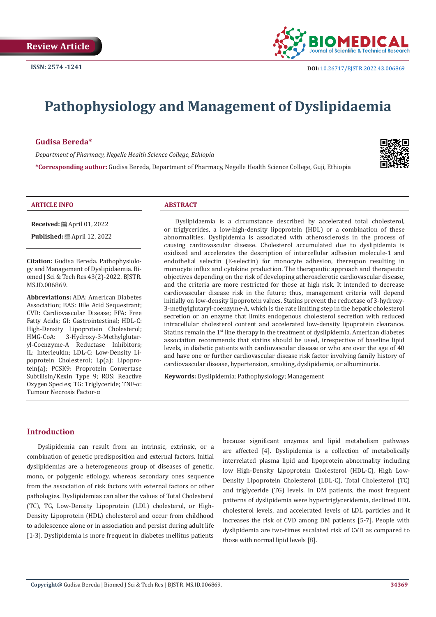

# **Pathophysiology and Management of Dyslipidaemia**

## **Gudisa Bereda\***

*Department of Pharmacy, Negelle Health Science College, Ethiopia* 

**\*Corresponding author:** Gudisa Bereda, Department of Pharmacy, Negelle Health Science College, Guji, Ethiopia



#### **ARTICLE INFO ABSTRACT**

**Received:** April 01, 2022

**Published:** ■ April 12, 2022

**Citation:** Gudisa Bereda. Pathophysiology and Management of Dyslipidaemia. Biomed J Sci & Tech Res 43(2)-2022. BJSTR. MS.ID.006869.

**Abbreviations:** ADA: American Diabetes Association: BAS: Bile Acid Sequestrant: CVD: Cardiovascular Disease; FFA: Free Fatty Acids; GI: Gastrointestinal; HDL-C: High-Density Lipoprotein Cholesterol;<br>HMG-CoA: 3-Hvdroxv-3-Methylglutar-3-Hydroxy-3-Methylglutaryl-Coenzyme-A Reductase Inhibitors; IL: Interleukin; LDL-C: Low-Density Lipoprotein Cholesterol; Lp(a): Lipoprotein(a); PCSK9: Proprotein Convertase Subtilisin/Kexin Type 9; ROS: Reactive Oxygen Species; TG: Triglyceride; TNF-α: Tumour Necrosis Factor-α

Dyslipidaemia is a circumstance described by accelerated total cholesterol, or triglycerides, a low-high-density lipoprotein (HDL) or a combination of these abnormalities. Dyslipidemia is associated with atherosclerosis in the process of causing cardiovascular disease. Cholesterol accumulated due to dyslipidemia is oxidized and accelerates the description of intercellular adhesion molecule-1 and endothelial selectin (E-selectin) for monocyte adhesion, thereupon resulting in monocyte influx and cytokine production. The therapeutic approach and therapeutic objectives depending on the risk of developing atherosclerotic cardiovascular disease, and the criteria are more restricted for those at high risk. It intended to decrease cardiovascular disease risk in the future; thus, management criteria will depend initially on low-density lipoprotein values. Statins prevent the reductase of 3-hydroxy-3-methylglutaryl-coenzyme-A, which is the rate limiting step in the hepatic cholesterol secretion or an enzyme that limits endogenous cholesterol secretion with reduced intracellular cholesterol content and accelerated low-density lipoprotein clearance. Statins remain the 1<sup>st</sup> line therapy in the treatment of dyslipidemia. American diabetes association recommends that statins should be used, irrespective of baseline lipid levels, in diabetic patients with cardiovascular disease or who are over the age of 40 and have one or further cardiovascular disease risk factor involving family history of cardiovascular disease, hypertension, smoking, dyslipidemia, or albuminuria.

**Keywords:** Dyslipidemia; Pathophysiology; Management

# **Introduction**

Dyslipidemia can result from an intrinsic, extrinsic, or a combination of genetic predisposition and external factors. Initial dyslipidemias are a heterogeneous group of diseases of genetic, mono, or polygenic etiology, whereas secondary ones sequence from the association of risk factors with external factors or other pathologies. Dyslipidemias can alter the values of Total Cholesterol (TC), TG, Low-Density Lipoprotein (LDL) cholesterol, or High-Density Lipoprotein (HDL) cholesterol and occur from childhood to adolescence alone or in association and persist during adult life [1-3]. Dyslipidemia is more frequent in diabetes mellitus patients

because significant enzymes and lipid metabolism pathways are affected [4]. Dyslipidemia is a collection of metabolically interrelated plasma lipid and lipoprotein abnormality including low High-Density Lipoprotein Cholesterol (HDL-C), High Low-Density Lipoprotein Cholesterol (LDL-C), Total Cholesterol (TC) and triglyceride (TG) levels. In DM patients, the most frequent patterns of dyslipidemia were hypertriglyceridemia, declined HDL cholesterol levels, and accelerated levels of LDL particles and it increases the risk of CVD among DM patients [5-7]. People with dyslipidemia are two-times escalated risk of CVD as compared to those with normal lipid levels [8].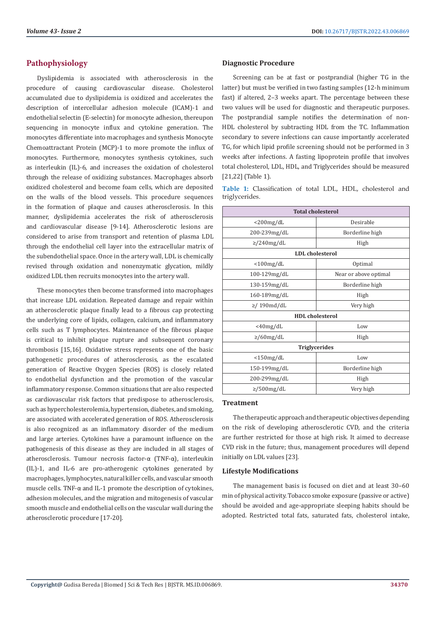# **Pathophysiology**

Dyslipidemia is associated with atherosclerosis in the procedure of causing cardiovascular disease. Cholesterol accumulated due to dyslipidemia is oxidized and accelerates the description of intercellular adhesion molecule (ICAM)-1 and endothelial selectin (E-selectin) for monocyte adhesion, thereupon sequencing in monocyte influx and cytokine generation. The monocytes differentiate into macrophages and synthesis Monocyte Chemoattractant Protein (MCP)-1 to more promote the influx of monocytes. Furthermore, monocytes synthesis cytokines, such as interleukin (IL)-6, and increases the oxidation of cholesterol through the release of oxidizing substances. Macrophages absorb oxidized cholesterol and become foam cells, which are deposited on the walls of the blood vessels. This procedure sequences in the formation of plaque and causes atherosclerosis. In this manner, dyslipidemia accelerates the risk of atherosclerosis and cardiovascular disease [9-14]. Atherosclerotic lesions are considered to arise from transport and retention of plasma LDL through the endothelial cell layer into the extracellular matrix of the subendothelial space. Once in the artery wall, LDL is chemically revised through oxidation and nonenzymatic glycation, mildly oxidized LDL then recruits monocytes into the artery wall.

These monocytes then become transformed into macrophages that increase LDL oxidation. Repeated damage and repair within an atherosclerotic plaque finally lead to a fibrous cap protecting the underlying core of lipids, collagen, calcium, and inflammatory cells such as T lymphocytes. Maintenance of the fibrous plaque is critical to inhibit plaque rupture and subsequent coronary thrombosis [15,16]. Oxidative stress represents one of the basic pathogenetic procedures of atherosclerosis, as the escalated generation of Reactive Oxygen Species (ROS) is closely related to endothelial dysfunction and the promotion of the vascular inflammatory response. Common situations that are also respected as cardiovascular risk factors that predispose to atherosclerosis, such as hypercholesterolemia, hypertension, diabetes, and smoking, are associated with accelerated generation of ROS. Atherosclerosis is also recognized as an inflammatory disorder of the medium and large arteries. Cytokines have a paramount influence on the pathogenesis of this disease as they are included in all stages of atherosclerosis. Tumour necrosis factor-α (TNF-α), interleukin (IL)-1, and IL-6 are pro-atherogenic cytokines generated by macrophages, lymphocytes, natural killer cells, and vascular smooth muscle cells. TNF-α and IL-1 promote the description of cytokines, adhesion molecules, and the migration and mitogenesis of vascular smooth muscle and endothelial cells on the vascular wall during the atherosclerotic procedure [17-20].

## **Diagnostic Procedure**

Screening can be at fast or postprandial (higher TG in the latter) but must be verified in two fasting samples (12-h minimum fast) if altered, 2–3 weeks apart. The percentage between these two values will be used for diagnostic and therapeutic purposes. The postprandial sample notifies the determination of non-HDL cholesterol by subtracting HDL from the TC. Inflammation secondary to severe infections can cause importantly accelerated TG, for which lipid profile screening should not be performed in 3 weeks after infections. A fasting lipoprotein profile that involves total cholesterol, LDL, HDL, and Triglycerides should be measured [21,22] (Table 1).

**Table 1:** Classification of total LDL, HDL, cholesterol and triglycerides.

| <b>Total cholesterol</b> |                       |  |  |  |
|--------------------------|-----------------------|--|--|--|
| $<$ 200 $mg/dL$          | Desirable             |  |  |  |
| 200-239mg/dL             | Borderline high       |  |  |  |
| $\geq$ /240mg/dL         | High                  |  |  |  |
| <b>LDL</b> cholesterol   |                       |  |  |  |
| $<$ 100mg/dL             | Optimal               |  |  |  |
| 100-129mg/dL             | Near or above optimal |  |  |  |
| 130-159mg/dL             | Borderline high       |  |  |  |
| 160-189mg/dL             | High                  |  |  |  |
| $\geq$ /190md/dL         | Very high             |  |  |  |
| <b>HDL</b> cholesterol   |                       |  |  |  |
| $<$ 40mg/dL              | Low                   |  |  |  |
| $\geq$ /60mg/dL          | High                  |  |  |  |
| <b>Triglycerides</b>     |                       |  |  |  |
| $<$ 150mg/dL             | Low                   |  |  |  |
| 150-199mg/dL             | Borderline high       |  |  |  |
| 200-299mg/dL             | High                  |  |  |  |
| $\ge$ /500mg/dL          | Very high             |  |  |  |

## **Treatment**

The therapeutic approach and therapeutic objectives depending on the risk of developing atherosclerotic CVD, and the criteria are further restricted for those at high risk. It aimed to decrease CVD risk in the future; thus, management procedures will depend initially on LDL values [23].

## **Lifestyle Modifications**

The management basis is focused on diet and at least 30–60 min of physical activity. Tobacco smoke exposure (passive or active) should be avoided and age-appropriate sleeping habits should be adopted. Restricted total fats, saturated fats, cholesterol intake,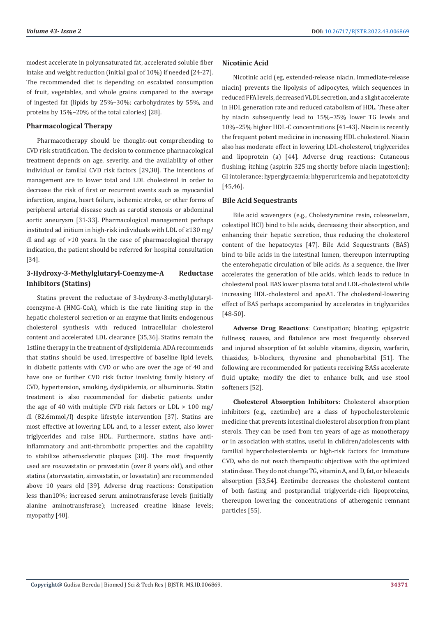modest accelerate in polyunsaturated fat, accelerated soluble fiber intake and weight reduction (initial goal of 10%) if needed [24-27]. The recommended diet is depending on escalated consumption of fruit, vegetables, and whole grains compared to the average of ingested fat (lipids by 25%–30%; carbohydrates by 55%, and proteins by 15%–20% of the total calories) [28].

## **Pharmacological Therapy**

Pharmacotherapy should be thought-out comprehending to CVD risk stratification. The decision to commence pharmacological treatment depends on age, severity, and the availability of other individual or familial CVD risk factors [29,30]. The intentions of management are to lower total and LDL cholesterol in order to decrease the risk of first or recurrent events such as myocardial infarction, angina, heart failure, ischemic stroke, or other forms of peripheral arterial disease such as carotid stenosis or abdominal aortic aneurysm [31-33]. Pharmacological management perhaps instituted ad initium in high-risk individuals with LDL of ≥130 mg/ dl and age of >10 years. In the case of pharmacological therapy indication, the patient should be referred for hospital consultation [34].

# **3-Hydroxy-3-Methylglutaryl-Coenzyme-A Reductase Inhibitors (Statins)**

Statins prevent the reductase of 3-hydroxy-3-methylglutarylcoenzyme-A (HMG-CoA), which is the rate limiting step in the hepatic cholesterol secretion or an enzyme that limits endogenous cholesterol synthesis with reduced intracellular cholesterol content and accelerated LDL clearance [35,36]. Statins remain the 1stline therapy in the treatment of dyslipidemia. ADA recommends that statins should be used, irrespective of baseline lipid levels, in diabetic patients with CVD or who are over the age of 40 and have one or further CVD risk factor involving family history of CVD, hypertension, smoking, dyslipidemia, or albuminuria. Statin treatment is also recommended for diabetic patients under the age of 40 with multiple CVD risk factors or LDL > 100 mg/ dl (82.6mmol/l) despite lifestyle intervention [37]. Statins are most effective at lowering LDL and, to a lesser extent, also lower triglycerides and raise HDL. Furthermore, statins have antiinflammatory and anti-thrombotic properties and the capability to stabilize atherosclerotic plaques [38]. The most frequently used are rosuvastatin or pravastatin (over 8 years old), and other statins (atorvastatin, simvastatin, or lovastatin) are recommended above 10 years old [39]. Adverse drug reactions: Constipation less than10%; increased serum aminotransferase levels (initially alanine aminotransferase); increased creatine kinase levels; myopathy [40].

## **Nicotinic Acid**

Nicotinic acid (eg, extended-release niacin, immediate-release niacin) prevents the lipolysis of adipocytes, which sequences in reduced FFA levels, decreased VLDL secretion, and a slight accelerate in HDL generation rate and reduced catabolism of HDL. These alter by niacin subsequently lead to 15%–35% lower TG levels and 10%–25% higher HDL-C concentrations [41-43]. Niacin is recently the frequent potent medicine in increasing HDL cholesterol. Niacin also has moderate effect in lowering LDL-cholesterol, triglycerides and lipoprotein (a) [44]. Adverse drug reactions: Cutaneous flushing; itching (aspirin 325 mg shortly before niacin ingestion); GI intolerance; hyperglycaemia; hhyperuricemia and hepatotoxicity [45,46].

## **Bile Acid Sequestrants**

Bile acid scavengers (e.g., Cholestyramine resin, colesevelam, colestipol HCl) bind to bile acids, decreasing their absorption, and enhancing their hepatic secretion, thus reducing the cholesterol content of the hepatocytes [47]. Bile Acid Sequestrants (BAS) bind to bile acids in the intestinal lumen, thereupon interrupting the enterohepatic circulation of bile acids. As a sequence, the liver accelerates the generation of bile acids, which leads to reduce in cholesterol pool. BAS lower plasma total and LDL-cholesterol while increasing HDL-cholesterol and apoA1. The cholesterol-lowering effect of BAS perhaps accompanied by accelerates in triglycerides [48-50].

**Adverse Drug Reactions**: Constipation; bloating; epigastric fullness; nausea, and flatulence are most frequently observed and injured absorption of fat soluble vitamins, digoxin, warfarin, thiazides, b-blockers, thyroxine and phenobarbital [51]. The following are recommended for patients receiving BASs accelerate fluid uptake; modify the diet to enhance bulk, and use stool softeners [52].

**Cholesterol Absorption Inhibitors**: Cholesterol absorption inhibitors (e.g., ezetimibe) are a class of hypocholesterolemic medicine that prevents intestinal cholesterol absorption from plant sterols. They can be used from ten years of age as monotherapy or in association with statins, useful in children/adolescents with familial hypercholesterolemia or high-risk factors for immature CVD, who do not reach therapeutic objectives with the optimized statin dose. They do not change TG, vitamin A, and D, fat, or bile acids absorption [53,54]. Ezetimibe decreases the cholesterol content of both fasting and postprandial triglyceride-rich lipoproteins, thereupon lowering the concentrations of atherogenic remnant particles [55].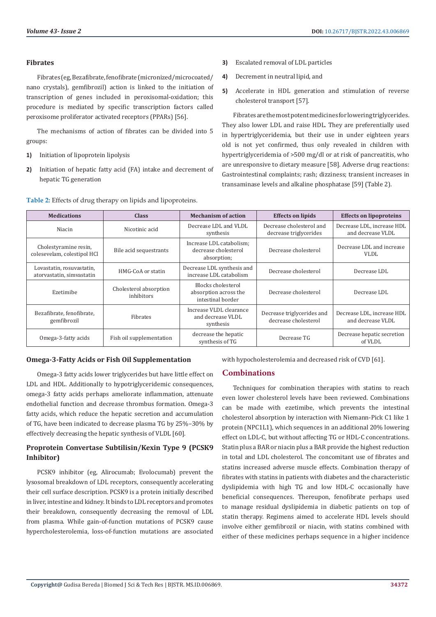#### **Fibrates**

Fibrates (eg, Bezafibrate, fenofibrate (micronized/microcoated/ nano crystals), gemfibrozil) action is linked to the initiation of transcription of genes included in peroxisomal-oxidation; this procedure is mediated by specific transcription factors called peroxisome proliferator activated receptors (PPARs) [56].

The mechanisms of action of fibrates can be divided into 5 groups:

- **1)** Initiation of lipoprotein lipolysis
- **2)** Initiation of hepatic fatty acid (FA) intake and decrement of hepatic TG generation

**Table 2:** Effects of drug therapy on lipids and lipoproteins.

- **3)** Escalated removal of LDL particles
- **4)** Decrement in neutral lipid, and
- **5)** Accelerate in HDL generation and stimulation of reverse cholesterol transport [57].

Fibrates are the most potent medicines for lowering triglycerides. They also lower LDL and raise HDL. They are preferentially used in hypertriglyceridemia, but their use in under eighteen years old is not yet confirmed, thus only revealed in children with hypertriglyceridemia of >500 mg/dl or at risk of pancreatitis, who are unresponsive to dietary measure [58]. Adverse drug reactions: Gastrointestinal complaints; rash; dizziness; transient increases in transaminase levels and alkaline phosphatase [59] (Table 2).

| <b>Medications</b>                                     | <b>Class</b>                         | <b>Mechanism of action</b>                                       | <b>Effects on lipids</b>                           | <b>Effects on lipoproteins</b>                  |
|--------------------------------------------------------|--------------------------------------|------------------------------------------------------------------|----------------------------------------------------|-------------------------------------------------|
| Niacin                                                 | Nicotinic acid                       | Decrease LDL and VLDL<br>synthesis                               | Decrease cholesterol and<br>decrease triglycerides | Decrease LDL, increase HDL<br>and decrease VLDL |
| Cholestyramine resin,<br>colesevelam, colestipol HCl   | Bile acid sequestrants               | Increase LDL catabolism:<br>decrease cholesterol<br>absorption;  | Decrease cholesterol                               | Decrease LDL and increase<br><b>VLDL</b>        |
| Lovastatin, rosuvastatin,<br>atorvastatin, simvastatin | HMG-CoA or statin                    | Decrease LDL synthesis and<br>increase LDL catabolism            | Decrease cholesterol                               | Decrease LDL                                    |
| Ezetimibe                                              | Cholesterol absorption<br>inhibitors | Blocks cholesterol<br>absorption across the<br>intestinal border | Decrease cholesterol                               | Decrease LDL                                    |
| Bezafibrate, fenofibrate,<br>gemfibrozil               | Fibrates                             | Increase VLDL clearance<br>and decrease VLDL<br>synthesis        | Decrease triglycerides and<br>decrease cholesterol | Decrease LDL, increase HDL<br>and decrease VLDL |
| Omega-3-fatty acids                                    | Fish oil supplementation             | decrease the hepatic<br>synthesis of TG                          | Decrease TG                                        | Decrease hepatic secretion<br>of VLDL           |

## **Omega-3-Fatty Acids or Fish Oil Supplementation**

Omega-3 fatty acids lower triglycerides but have little effect on LDL and HDL. Additionally to hypotriglyceridemic consequences, omega-3 fatty acids perhaps ameliorate inflammation, attenuate endothelial function and decrease thrombus formation. Omega-3 fatty acids, which reduce the hepatic secretion and accumulation of TG, have been indicated to decrease plasma TG by 25%–30% by effectively decreasing the hepatic synthesis of VLDL [60].

## **Proprotein Convertase Subtilisin/Kexin Type 9 (PCSK9 Inhibitor)**

PCSK9 inhibitor (eg, Alirocumab; Evolocumab) prevent the lysosomal breakdown of LDL receptors, consequently accelerating their cell surface description. PCSK9 is a protein initially described in liver, intestine and kidney. It binds to LDL receptors and promotes their breakdown, consequently decreasing the removal of LDL from plasma. While gain-of-function mutations of PCSK9 cause hypercholesterolemia, loss-of-function mutations are associated

with hypocholesterolemia and decreased risk of CVD [61].

## **Combinations**

Techniques for combination therapies with statins to reach even lower cholesterol levels have been reviewed. Combinations can be made with ezetimibe, which prevents the intestinal cholesterol absorption by interaction with Niemann-Pick C1 like 1 protein (NPC1L1), which sequences in an additional 20% lowering effect on LDL-C, but without affecting TG or HDL-C concentrations. Statin plus a BAR or niacin plus a BAR provide the highest reduction in total and LDL cholesterol. The concomitant use of fibrates and statins increased adverse muscle effects. Combination therapy of fibrates with statins in patients with diabetes and the characteristic dyslipidemia with high TG and low HDL-C occasionally have beneficial consequences. Thereupon, fenofibrate perhaps used to manage residual dyslipidemia in diabetic patients on top of statin therapy. Regimens aimed to accelerate HDL levels should involve either gemfibrozil or niacin, with statins combined with either of these medicines perhaps sequence in a higher incidence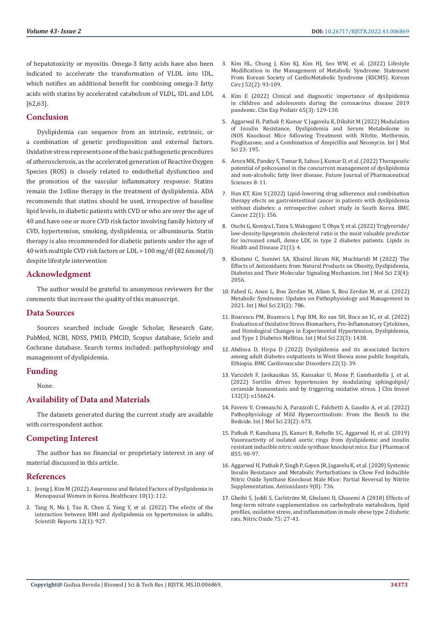of hepatotoxicity or myositis. Omega-3 fatty acids have also been indicated to accelerate the transformation of VLDL into IDL, which notifies an additional benefit for combining omega-3 fatty acids with statins by accelerated catabolism of VLDL, IDL and LDL [62,63].

## **Conclusion**

Dyslipidemia can sequence from an intrinsic, extrinsic, or a combination of genetic predisposition and external factors. Oxidative stress represents one of the basic pathogenetic procedures of atherosclerosis, as the accelerated generation of Reactive Oxygen Species (ROS) is closely related to endothelial dysfunction and the promotion of the vascular inflammatory response. Statins remain the 1stline therapy in the treatment of dyslipidemia. ADA recommends that statins should be used, irrespective of baseline lipid levels, in diabetic patients with CVD or who are over the age of 40 and have one or more CVD risk factor involving family history of CVD, hypertension, smoking, dyslipidemia, or albuminuria. Statin therapy is also recommended for diabetic patients under the age of 40 with multiple CVD risk factors or LDL > 100 mg/dl (82.6mmol/l) despite lifestyle intervention

## **Acknowledgment**

The author would be grateful to anonymous reviewers for the comments that increase the quality of this manuscript.

## **Data Sources**

Sources searched include Google Scholar, Research Gate, PubMed, NCBI, NDSS, PMID, PMCID, Scopus database, Scielo and Cochrane database. Search terms included: pathophysiology and management of dyslipidemia.

## **Funding**

None.

## **Availability of Data and Materials**

The datasets generated during the current study are available with correspondent author.

## **Competing Interest**

The author has no financial or proprietary interest in any of material discussed in this article.

## **References**

- 1. [Jeong J, Kim M \(2022\) Awareness and Related Factors of Dyslipidemia in](https://pubmed.ncbi.nlm.nih.gov/35052276/)  [Menopausal Women in Korea. Healthcare 10\(1\): 112.](https://pubmed.ncbi.nlm.nih.gov/35052276/)
- 2. [Tang N, Ma J, Tao R, Chen Z, Yang Y, et al. \(2022\) The efects of the](https://pubmed.ncbi.nlm.nih.gov/35042940/)  [interaction between BMI and dyslipidemia on hypertension in adults.](https://pubmed.ncbi.nlm.nih.gov/35042940/)  [Scientifc Reports 12\(1\): 927.](https://pubmed.ncbi.nlm.nih.gov/35042940/)
- 3. [Kim HL, Chung J, Kim KJ, Kim HJ, Seo WW, et al. \(2022\) Lifestyle](https://pubmed.ncbi.nlm.nih.gov/35128848/) [Modification in the Management of Metabolic Syndrome: Statement](https://pubmed.ncbi.nlm.nih.gov/35128848/) [From Korean Society of CardioMetabolic Syndrome \(KSCMS\). Korean](https://pubmed.ncbi.nlm.nih.gov/35128848/) [Circ J 52\(2\): 93-109.](https://pubmed.ncbi.nlm.nih.gov/35128848/)
- 4. [Kim E \(2022\) Clinical and diagnostic importance of dyslipidemia](https://pubmed.ncbi.nlm.nih.gov/35038832/) [in children and adolescents during the coronavirus disease 2019](https://pubmed.ncbi.nlm.nih.gov/35038832/) [pandemic. Clin Exp Pediatr 65\(3\): 129-130.](https://pubmed.ncbi.nlm.nih.gov/35038832/)
- 5. [Aggarwal H, Pathak P, Kumar Y, Jagavelu K, Dikshit M \(2022\) Modulation](https://www.mdpi.com/1422-0067/23/1/195) [of Insulin Resistance, Dyslipidemia and Serum Metabolome in](https://www.mdpi.com/1422-0067/23/1/195) [iNOS Knockout Mice following Treatment with Nitrite, Metformin,](https://www.mdpi.com/1422-0067/23/1/195) [Pioglitazone, and a Combination of Ampicillin and Neomycin. Int J Mol](https://www.mdpi.com/1422-0067/23/1/195) [Sci 23: 195.](https://www.mdpi.com/1422-0067/23/1/195)
- 6. [Arora MK, Pandey S, Tomar R, Sahoo J, Kumar D, et al. \(2022\) Therapeutic](https://fjps.springeropen.com/articles/10.1186/s43094-022-00399-4) [potential of policosanol in the concurrent management of dyslipidemia](https://fjps.springeropen.com/articles/10.1186/s43094-022-00399-4) [and non-alcoholic fatty liver disease. Future Journal of Pharmaceutical](https://fjps.springeropen.com/articles/10.1186/s43094-022-00399-4) [Sciences 8: 11.](https://fjps.springeropen.com/articles/10.1186/s43094-022-00399-4)
- 7. [Han KT, Kim S \(2022\) Lipid-lowering drug adherence and combination](https://pubmed.ncbi.nlm.nih.gov/35135497/) [therapy efects on gastrointestinal cancer in patients with dyslipidemia](https://pubmed.ncbi.nlm.nih.gov/35135497/) [without diabetes: a retrospective cohort study in South Korea. BMC](https://pubmed.ncbi.nlm.nih.gov/35135497/) [Cancer 22\(1\): 156.](https://pubmed.ncbi.nlm.nih.gov/35135497/)
- 8. [Ouchi G, Komiya I, Taira S, Wakugami T, Ohya Y, et al. \(2022\) Triglyceride/](https://pubmed.ncbi.nlm.nih.gov/34996463/) [low-density-lipoprotein cholesterol ratio is the most valuable predictor](https://pubmed.ncbi.nlm.nih.gov/34996463/) [for increased small, dense LDL in type 2 diabetes patients. Lipids in](https://pubmed.ncbi.nlm.nih.gov/34996463/) [Health and Disease 21\(1\): 4.](https://pubmed.ncbi.nlm.nih.gov/34996463/)
- 9. [Khutami C, Sumiwi SA, Khairul Ikram NK, Muchtaridi M \(2022\) The](https://pubmed.ncbi.nlm.nih.gov/35216172/) [Effects of Antioxidants from Natural Products on Obesity, Dyslipidemia,](https://pubmed.ncbi.nlm.nih.gov/35216172/) [Diabetes and Their Molecular Signaling Mechanism. Int J Mol Sci 23\(4\):](https://pubmed.ncbi.nlm.nih.gov/35216172/) [2056.](https://pubmed.ncbi.nlm.nih.gov/35216172/)
- 10. [Fahed G, Aoun L, Bou Zerdan M, Allam S, Bou Zerdan M, et al. \(2022\)](https://pubmed.ncbi.nlm.nih.gov/35054972/) [Metabolic Syndrome: Updates on Pathophysiology and Management in](https://pubmed.ncbi.nlm.nih.gov/35054972/) [2021. Int J Mol Sci 23\(2\): 786.](https://pubmed.ncbi.nlm.nih.gov/35054972/)
- 11. [Boarescu PM, Boarescu I, Pop RM, Ro san SH, Bocs an IC, et al. \(2022\)](https://pubmed.ncbi.nlm.nih.gov/35163364/) [Evaluation of Oxidative Stress Biomarkers, Pro-Inflammatory Cytokines,](https://pubmed.ncbi.nlm.nih.gov/35163364/) [and Histological Changes in Experimental Hypertension, Dyslipidemia,](https://pubmed.ncbi.nlm.nih.gov/35163364/) [and Type 1 Diabetes Mellitus. Int J Mol Sci 23\(3\): 1438.](https://pubmed.ncbi.nlm.nih.gov/35163364/)
- 12. [Abdissa D, Hirpa D \(2022\) Dyslipidemia and its associated factors](https://pubmed.ncbi.nlm.nih.gov/35148683/) [among adult diabetes outpatients in West Shewa zone public hospitals,](https://pubmed.ncbi.nlm.nih.gov/35148683/) [Ethiopia. BMC Cardiovascular Disorders 22\(1\): 39.](https://pubmed.ncbi.nlm.nih.gov/35148683/)
- 13. [Varzideh F, Jankauskas SS, Kansakar U, Mone P, Gambardella J, et al.](https://pubmed.ncbi.nlm.nih.gov/35104807/) [\(2022\) Sortilin drives hypertension by modulating sphingolipid/](https://pubmed.ncbi.nlm.nih.gov/35104807/) [ceramide homeostasis and by triggering oxidative stress. J Clin Invest](https://pubmed.ncbi.nlm.nih.gov/35104807/) [132\(3\): e156624.](https://pubmed.ncbi.nlm.nih.gov/35104807/)
- 14. [Favero V, Cremaschi A, Parazzoli C, Falchetti A, Gaudio A, et al. \(2022\)](https://pubmed.ncbi.nlm.nih.gov/35054858/) [Pathophysiology of Mild Hypercortisolism: From the Bench to the](https://pubmed.ncbi.nlm.nih.gov/35054858/) [Bedside. Int J Mol Sci 23\(2\): 673.](https://pubmed.ncbi.nlm.nih.gov/35054858/)
- 15. [Pathak P, Kanshana JS, Kanuri B, Rebello SC, Aggarwal H, et al. \(2019\)](https://pubmed.ncbi.nlm.nih.gov/31063772/) [Vasoreactivity of isolated aortic rings from dyslipidemic and insulin](https://pubmed.ncbi.nlm.nih.gov/31063772/) [resistant inducible nitric oxide synthase knockout mice. Eur J Pharmacol](https://pubmed.ncbi.nlm.nih.gov/31063772/) [855: 90-97.](https://pubmed.ncbi.nlm.nih.gov/31063772/)
- 16. [Aggarwal H, Pathak P, Singh P, Gayen JR, Jagavelu K, et al. \(2020\) Systemic](https://pubmed.ncbi.nlm.nih.gov/32806494/) [Insulin Resistance and Metabolic Perturbations in Chow Fed Inducible](https://pubmed.ncbi.nlm.nih.gov/32806494/) [Nitric Oxide Synthase Knockout Male Mice: Partial Reversal by Nitrite](https://pubmed.ncbi.nlm.nih.gov/32806494/) [Supplementation. Antioxidants 9\(8\): 736.](https://pubmed.ncbi.nlm.nih.gov/32806494/)
- 17. Gheibi S, Jeddi S, Carlströ[m M, Gholami H, Ghasemi A \(2018\) Effects of](https://pubmed.ncbi.nlm.nih.gov/29432804/) [long-term nitrate supplementation on carbohydrate metabolism, lipid](https://pubmed.ncbi.nlm.nih.gov/29432804/) [profiles, oxidative stress, and inflammation in male obese type 2 diabetic](https://pubmed.ncbi.nlm.nih.gov/29432804/) [rats. Nitric Oxide 75: 27-41.](https://pubmed.ncbi.nlm.nih.gov/29432804/)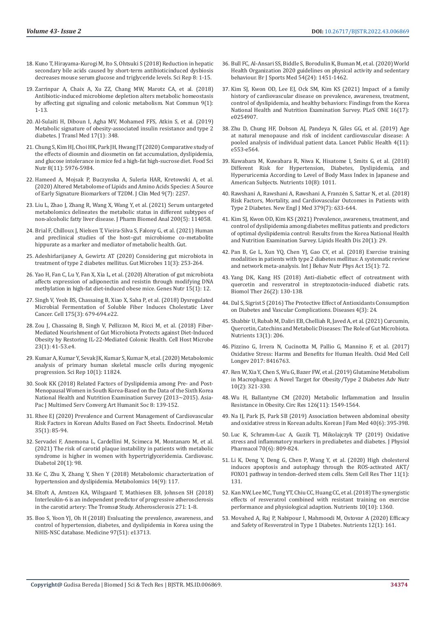- 18. [Kuno T, Hirayama-Kurogi M, Ito S, Ohtsuki S \(2018\) Reduction in hepatic](https://www.nature.com/articles/s41598-018-19545-1)  secondary bile acids caused by short-term antibioticinduced dysbiosis [decreases mouse serum glucose and triglyceride levels. Sci Rep 8: 1-15.](https://www.nature.com/articles/s41598-018-19545-1)
- 19. [Zarrinpar A, Chaix A, Xu ZZ, Chang MW, Marotz CA, et al. \(2018\)](https://www.researchgate.net/publication/326520249_Antibiotic-induced_microbiome_depletion_alters_metabolic_homeostasis_by_affecting_gut_signaling_and_colonic_metabolism)  [Antibiotic-induced microbiome depletion alters metabolic homeostasis](https://www.researchgate.net/publication/326520249_Antibiotic-induced_microbiome_depletion_alters_metabolic_homeostasis_by_affecting_gut_signaling_and_colonic_metabolism)  [by affecting gut signaling and colonic metabolism. Nat Commun 9\(1\):](https://www.researchgate.net/publication/326520249_Antibiotic-induced_microbiome_depletion_alters_metabolic_homeostasis_by_affecting_gut_signaling_and_colonic_metabolism)  [1-13.](https://www.researchgate.net/publication/326520249_Antibiotic-induced_microbiome_depletion_alters_metabolic_homeostasis_by_affecting_gut_signaling_and_colonic_metabolism)
- 20. [Al-Sulaiti H, Diboun I, Agha MV, Mohamed FFS, Atkin S, et al. \(2019\)](https://pubmed.ncbi.nlm.nih.gov/31640727/)  [Metabolic signature of obesity-associated insulin resistance and type 2](https://pubmed.ncbi.nlm.nih.gov/31640727/)  [diabetes. J Transl Med 17\(1\): 348.](https://pubmed.ncbi.nlm.nih.gov/31640727/)
- 21. [Chung S, Kim HJ, Choi HK, Park JH, Hwang JT \(2020\) Comparative study of](https://pubmed.ncbi.nlm.nih.gov/33282249/)  [the effects of diosmin and diosmetin on fat accumulation, dyslipidemia,](https://pubmed.ncbi.nlm.nih.gov/33282249/)  [and glucose intolerance in mice fed a high-fat high-sucrose diet. Food Sci](https://pubmed.ncbi.nlm.nih.gov/33282249/)  [Nutr 8\(11\): 5976-5984.](https://pubmed.ncbi.nlm.nih.gov/33282249/)
- 22. [Hameed A, Mojsak P, Buczynska A, Suleria HAR, Kretowski A, et al.](https://www.ncbi.nlm.nih.gov/pmc/articles/PMC7409008/)  [\(2020\) Altered Metabolome of Lipids and Amino Acids Species: A Source](https://www.ncbi.nlm.nih.gov/pmc/articles/PMC7409008/)  [of Early Signature Biomarkers of T2DM. J Clin Med 9\(7\): 2257.](https://www.ncbi.nlm.nih.gov/pmc/articles/PMC7409008/)
- 23. [Liu L, Zhao J, Zhang R, Wang X, Wang Y, et al. \(2021\) Serum untargeted](https://www.sciencedirect.com/science/article/abs/pii/S0731708521001692)  [metabolomics delineates the metabolic status in different subtypes of](https://www.sciencedirect.com/science/article/abs/pii/S0731708521001692)  [non-alcoholic fatty liver disease. J Pharm Biomed Anal 200\(5\): 114058.](https://www.sciencedirect.com/science/article/abs/pii/S0731708521001692)
- 24. [Brial F, Chilloux J, Nielsen T, Vieira-Silva S, Falony G, et al. \(2021\) Human](https://gut.bmj.com/content/gutjnl/early/2021/05/11/gutjnl-2020-323314.full.pdf)  [and preclinical studies of the host–gut microbiome co-metabolite](https://gut.bmj.com/content/gutjnl/early/2021/05/11/gutjnl-2020-323314.full.pdf)  [hippurate as a marker and mediator of metabolic health. Gut.](https://gut.bmj.com/content/gutjnl/early/2021/05/11/gutjnl-2020-323314.full.pdf)
- 25. [Adeshirlarijaney A, Gewirtz AT \(2020\) Considering gut microbiota in](https://pubmed.ncbi.nlm.nih.gov/32005089/)  [treatment of type 2 diabetes mellitus. Gut Microbes 11\(3\): 253-264.](https://pubmed.ncbi.nlm.nih.gov/32005089/)
- 26. [Yao H, Fan C, Lu Y, Fan X, Xia L, et al. \(2020\) Alteration of gut microbiota](https://pubmed.ncbi.nlm.nih.gov/32586265/)  [affects expression of adiponectin and resistin through modifying DNA](https://pubmed.ncbi.nlm.nih.gov/32586265/)  [methylation in high-fat diet-induced obese mice. Genes Nutr 15\(1\): 12.](https://pubmed.ncbi.nlm.nih.gov/32586265/)
- 27. [Singh V, Yeoh BS, Chassaing B, Xiao X, Saha P, et al. \(2018\) Dysregulated](https://pubmed.ncbi.nlm.nih.gov/30340040/)  [Microbial Fermentation of Soluble Fiber Induces Cholestatic Liver](https://pubmed.ncbi.nlm.nih.gov/30340040/)  [Cancer. Cell 175\(3\): 679-694.e22.](https://pubmed.ncbi.nlm.nih.gov/30340040/)
- 28. [Zou J, Chassaing B, Singh V, Pellizzon M, Ricci M, et al. \(2018\) Fiber-](https://pubmed.ncbi.nlm.nih.gov/29276170/)[Mediated Nourishment of Gut Microbiota Protects against Diet-Induced](https://pubmed.ncbi.nlm.nih.gov/29276170/)  [Obesity by Restoring IL-22-Mediated Colonic Health. Cell Host Microbe](https://pubmed.ncbi.nlm.nih.gov/29276170/)  [23\(1\): 41-53.e4.](https://pubmed.ncbi.nlm.nih.gov/29276170/)
- 29. [Kumar A, Kumar Y, Sevak JK, Kumar S, Kumar N, et al. \(2020\) Metabolomic](https://pubmed.ncbi.nlm.nih.gov/32678274/)  [analysis of primary human skeletal muscle cells during myogenic](https://pubmed.ncbi.nlm.nih.gov/32678274/)  [progression. Sci Rep 10\(1\): 11824.](https://pubmed.ncbi.nlm.nih.gov/32678274/)
- 30. Sook KK (2018) Related Factors of Dyslipidemia among Pre- and Post-Menopausal Women in South Korea-Based on the Data of the Sixth Korea National Health and Nutrition Examination Survey (2013~2015). Asia-Pac J Multimed Serv Converg Art Humanit Soc 8: 139-152.
- 31. [Rhee EJ \(2020\) Prevalence and Current Management of Cardiovascular](https://pubmed.ncbi.nlm.nih.gov/32207267/)  [Risk Factors in Korean Adults Based on Fact Sheets. Endocrinol. Metab](https://pubmed.ncbi.nlm.nih.gov/32207267/)  [35\(1\): 85-94.](https://pubmed.ncbi.nlm.nih.gov/32207267/)
- 32. [Servadei F, Anemona L, Cardellini M, Scimeca M, Montanaro M, et al.](https://pubmed.ncbi.nlm.nih.gov/33957931/)  [\(2021\) The risk of carotid plaque instability in patients with metabolic](https://pubmed.ncbi.nlm.nih.gov/33957931/)  [syndrome is higher in women with hypertriglyceridemia. Cardiovasc.](https://pubmed.ncbi.nlm.nih.gov/33957931/)  [Diabetol 20\(1\): 98.](https://pubmed.ncbi.nlm.nih.gov/33957931/)
- 33. [Ke C, Zhu X, Zhang Y, Shen Y \(2018\) Metabolomic characterization of](https://pubmed.ncbi.nlm.nih.gov/30830367/)  [hypertension and dyslipidemia. Metabolomics 14\(9\): 117.](https://pubmed.ncbi.nlm.nih.gov/30830367/)
- 34. [Eltoft A, Arntzen KA, Wilsgaard T, Mathiesen EB, Johnsen SH \(2018\)](https://pubmed.ncbi.nlm.nih.gov/29453087/)  [Interleukin-6 is an independent predictor of progressive atherosclerosis](https://pubmed.ncbi.nlm.nih.gov/29453087/)  [in the carotid artery: The Troms](https://pubmed.ncbi.nlm.nih.gov/29453087/)ø Study. Atherosclerosis 271: 1-8.
- 35. [Boo S, Yoon YJ, Oh H \(2018\) Evaluating the prevalence, awareness, and](https://pubmed.ncbi.nlm.nih.gov/30572503/)  [control of hypertension, diabetes, and dyslipidemia in Korea using the](https://pubmed.ncbi.nlm.nih.gov/30572503/)  [NHIS-NSC database. Medicine 97\(51\): e13713.](https://pubmed.ncbi.nlm.nih.gov/30572503/)
- 36. [Bull FC, Al-Ansari SS, Biddle S, Borodulin K, Buman M, et al. \(2020\) World](https://pubmed.ncbi.nlm.nih.gov/33239350/) [Health Organization 2020 guidelines on physical activity and sedentary](https://pubmed.ncbi.nlm.nih.gov/33239350/) [behaviour. Br J Sports Med 54\(24\): 1451-1462.](https://pubmed.ncbi.nlm.nih.gov/33239350/)
- 37. [Kim SJ, Kwon OD, Lee EJ, Ock SM, Kim KS \(2021\) Impact of a family](https://pubmed.ncbi.nlm.nih.gov/34324532/) [history of cardiovascular disease on prevalence, awareness, treatment,](https://pubmed.ncbi.nlm.nih.gov/34324532/) [control of dyslipidemia, and healthy behaviors: Findings from the Korea](https://pubmed.ncbi.nlm.nih.gov/34324532/) [National Health and Nutrition Examination Survey. PLoS ONE 16\(17\):](https://pubmed.ncbi.nlm.nih.gov/34324532/) [e0254907.](https://pubmed.ncbi.nlm.nih.gov/34324532/)
- 38. [Zhu D, Chung HF, Dobson AJ, Pandeya N, Giles GG, et al. \(2019\) Age](https://pubmed.ncbi.nlm.nih.gov/31588031/) [at natural menopause and risk of incident cardiovascular disease: A](https://pubmed.ncbi.nlm.nih.gov/31588031/) [pooled analysis of individual patient data. Lancet Public Health 4\(11\):](https://pubmed.ncbi.nlm.nih.gov/31588031/) [e553-e564.](https://pubmed.ncbi.nlm.nih.gov/31588031/)
- 39. [Kuwabara M, Kuwabara R, Niwa K, Hisatome I, Smits G, et al. \(2018\)](https://pubmed.ncbi.nlm.nih.gov/30081468/) [Different Risk for Hypertension, Diabetes, Dyslipidemia, and](https://pubmed.ncbi.nlm.nih.gov/30081468/) [Hyperuricemia According to Level of Body Mass Index in Japanese and](https://pubmed.ncbi.nlm.nih.gov/30081468/) [American Subjects. Nutrients 10\(8\): 1011.](https://pubmed.ncbi.nlm.nih.gov/30081468/)
- 40. [Rawshani A, Rawshani A, Rawshani A, Franz](https://pubmed.ncbi.nlm.nih.gov/30110583/)én S, Sattar N, et al. (2018) [Risk Factors, Mortality, and Cardiovascular Outcomes in Patients with](https://pubmed.ncbi.nlm.nih.gov/30110583/) [Type 2 Diabetes. New Engl J Med 379\(7\): 633-644.](https://pubmed.ncbi.nlm.nih.gov/30110583/)
- 41. [Kim SJ, Kwon OD, Kim KS \(2021\) Prevalence, awareness, treatment, and](https://pubmed.ncbi.nlm.nih.gov/33771170/) [control of dyslipidemia among diabetes mellitus patients and predictors](https://pubmed.ncbi.nlm.nih.gov/33771170/) [of optimal dyslipidemia control: Results from the Korea National Health](https://pubmed.ncbi.nlm.nih.gov/33771170/) [and Nutrition Examination Survey. Lipids Health Dis 20\(1\): 29.](https://pubmed.ncbi.nlm.nih.gov/33771170/)
- 42. [Pan B, Ge L, Xun YQ, Chen YJ, Gao CY, et al. \(2018\) Exercise training](https://pubmed.ncbi.nlm.nih.gov/30045740/) [modalities in patients with type 2 diabetes mellitus: A systematic review](https://pubmed.ncbi.nlm.nih.gov/30045740/) [and network meta-analysis. Int J Behav Nutr Phys Act 15\(1\): 72.](https://pubmed.ncbi.nlm.nih.gov/30045740/)
- 43. [Yang DK, Kang HS \(2018\) Anti-diabetic effect of cotreatment with](https://pubmed.ncbi.nlm.nih.gov/29462848/) [quercetin and resveratrol in streptozotocin-induced diabetic rats.](https://pubmed.ncbi.nlm.nih.gov/29462848/) [Biomol Ther 26\(2\): 130-138.](https://pubmed.ncbi.nlm.nih.gov/29462848/)
- 44. [Dal S, Sigrist S \(2016\) The Protective Effect of Antioxidants Consumption](https://www.ncbi.nlm.nih.gov/pmc/articles/PMC5456287/) [on Diabetes and Vascular Complications. Diseases 4\(3\): 24.](https://www.ncbi.nlm.nih.gov/pmc/articles/PMC5456287/)
- 45. [Shabbir U, Rubab M, Daliri EB, Chelliah R, Javed A, et al. \(2021\) Curcumin,](https://pubmed.ncbi.nlm.nih.gov/33445760/) [Quercetin, Catechins and Metabolic Diseases: The Role of Gut Microbiota.](https://pubmed.ncbi.nlm.nih.gov/33445760/) [Nutrients 13\(1\): 206.](https://pubmed.ncbi.nlm.nih.gov/33445760/)
- 46. [Pizzino G, Irrera N, Cucinotta M, Pallio G, Mannino F, et al. \(2017\)](https://pubmed.ncbi.nlm.nih.gov/28819546/) [Oxidative Stress: Harms and Benefits for Human Health. Oxid Med Cell](https://pubmed.ncbi.nlm.nih.gov/28819546/) [Longev 2017: 8416763.](https://pubmed.ncbi.nlm.nih.gov/28819546/)
- 47. [Ren W, Xia Y, Chen S, Wu G, Bazer FW, et al. \(2019\) Glutamine Metabolism](https://www.ncbi.nlm.nih.gov/pmc/articles/PMC6416106/) [in Macrophages: A Novel Target for Obesity/Type 2 Diabetes Adv Nutr](https://www.ncbi.nlm.nih.gov/pmc/articles/PMC6416106/) [10\(2\): 321-330.](https://www.ncbi.nlm.nih.gov/pmc/articles/PMC6416106/)
- 48. [Wu H, Ballantyne CM \(2020\) Metabolic Inflammation and Insulin](https://pubmed.ncbi.nlm.nih.gov/32437299/) [Resistance in Obesity. Circ Res 126\(11\): 1549-1564.](https://pubmed.ncbi.nlm.nih.gov/32437299/)
- 49. [Na IJ, Park JS, Park SB \(2019\) Association between abdominal obesity](https://www.ncbi.nlm.nih.gov/pmc/articles/PMC6887768/) [and oxidative stress in Korean adults. Korean J Fam Med 40\(6\): 395-398.](https://www.ncbi.nlm.nih.gov/pmc/articles/PMC6887768/)
- 50. [Luc K, Schramm-Luc A, Guzik TJ, Mikolajczyk TP \(2019\) Oxidative](https://pubmed.ncbi.nlm.nih.gov/32084643/) [stress and inflammatory markers in prediabetes and diabetes. J Physiol](https://pubmed.ncbi.nlm.nih.gov/32084643/) [Pharmacol 70\(6\): 809-824.](https://pubmed.ncbi.nlm.nih.gov/32084643/)
- 51. [Li K, Deng Y, Deng G, Chen P, Wang Y, et al. \(2020\) High cholesterol](https://pubmed.ncbi.nlm.nih.gov/32197645/) [induces apoptosis and autophagy through the ROS-activated AKT/](https://pubmed.ncbi.nlm.nih.gov/32197645/) [FOXO1 pathway in tendon-derived stem cells. Stem Cell Res Ther 11\(1\):](https://pubmed.ncbi.nlm.nih.gov/32197645/) [131.](https://pubmed.ncbi.nlm.nih.gov/32197645/)
- 52. [Kan NW, Lee MC, Tung YT, Chiu CC, Huang CC, et al. \(2018\) The synergistic](https://pubmed.ncbi.nlm.nih.gov/30249003/) [effects of resveratrol combined with resistant training on exercise](https://pubmed.ncbi.nlm.nih.gov/30249003/) [performance and physiological adaption. Nutrients 10\(10\): 1360.](https://pubmed.ncbi.nlm.nih.gov/30249003/)
- 53. [Movahed A, Raj P, Nabipour I, Mahmoodi M, Ostovar A \(2020\) Efficacy](https://pubmed.ncbi.nlm.nih.gov/31935938/) [and Safety of Resveratrol in Type 1 Diabetes. Nutrients 12\(1\): 161.](https://pubmed.ncbi.nlm.nih.gov/31935938/)